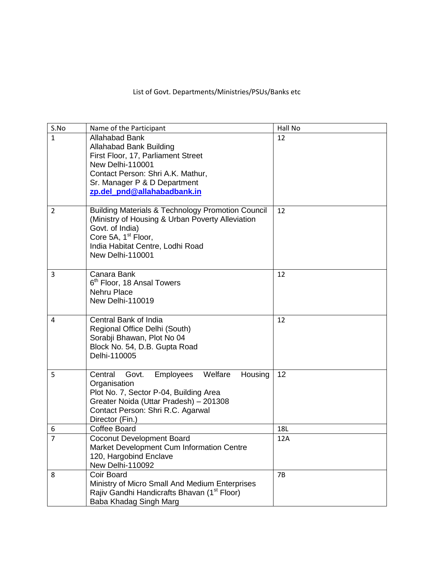## List of Govt. Departments/Ministries/PSUs/Banks etc

| S.No           | Name of the Participant                                                                                                                                                                                                        | Hall No |
|----------------|--------------------------------------------------------------------------------------------------------------------------------------------------------------------------------------------------------------------------------|---------|
| 1              | <b>Allahabad Bank</b><br><b>Allahabad Bank Building</b><br>First Floor, 17, Parliament Street<br>New Delhi-110001<br>Contact Person: Shri A.K. Mathur,<br>Sr. Manager P & D Department<br>zp.del_pnd@allahabadbank.in          | 12      |
| 2              | <b>Building Materials &amp; Technology Promotion Council</b><br>(Ministry of Housing & Urban Poverty Alleviation<br>Govt. of India)<br>Core 5A, 1 <sup>st</sup> Floor,<br>India Habitat Centre, Lodhi Road<br>New Delhi-110001 | 12      |
| 3              | Canara Bank<br>6 <sup>th</sup> Floor, 18 Ansal Towers<br><b>Nehru Place</b><br>New Delhi-110019                                                                                                                                | 12      |
| 4              | Central Bank of India<br>Regional Office Delhi (South)<br>Sorabji Bhawan, Plot No 04<br>Block No. 54, D.B. Gupta Road<br>Delhi-110005                                                                                          | 12      |
| 5              | Welfare<br>Housing<br>Central<br><b>Employees</b><br>Govt.<br>Organisation<br>Plot No. 7, Sector P-04, Building Area<br>Greater Noida (Uttar Pradesh) - 201308<br>Contact Person: Shri R.C. Agarwal<br>Director (Fin.)         | 12      |
| 6              | <b>Coffee Board</b>                                                                                                                                                                                                            | 18L     |
| $\overline{7}$ | <b>Coconut Development Board</b><br>Market Development Cum Information Centre<br>120, Hargobind Enclave<br>New Delhi-110092                                                                                                    | 12A     |
| 8              | Coir Board<br>Ministry of Micro Small And Medium Enterprises<br>Rajiv Gandhi Handicrafts Bhavan (1 <sup>st</sup> Floor)<br>Baba Khadag Singh Marg                                                                              | 7B      |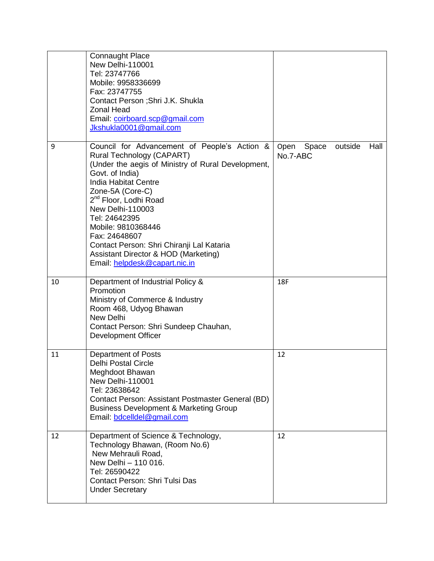|    | <b>Connaught Place</b><br>New Delhi-110001<br>Tel: 23747766<br>Mobile: 9958336699<br>Fax: 23747755<br>Contact Person ; Shri J.K. Shukla<br><b>Zonal Head</b><br>Email: coirboard.scp@gmail.com<br>Jkshukla0001@gmail.com                                                                                                                                                                                                              |                                              |
|----|---------------------------------------------------------------------------------------------------------------------------------------------------------------------------------------------------------------------------------------------------------------------------------------------------------------------------------------------------------------------------------------------------------------------------------------|----------------------------------------------|
| 9  | Council for Advancement of People's Action &<br>Rural Technology (CAPART)<br>(Under the aegis of Ministry of Rural Development,<br>Govt. of India)<br>India Habitat Centre<br>Zone-5A (Core-C)<br>2 <sup>nd</sup> Floor, Lodhi Road<br>New Delhi-110003<br>Tel: 24642395<br>Mobile: 9810368446<br>Fax: 24648607<br>Contact Person: Shri Chiranji Lal Kataria<br>Assistant Director & HOD (Marketing)<br>Email: helpdesk@capart.nic.in | outside<br>Hall<br>Open<br>Space<br>No.7-ABC |
| 10 | Department of Industrial Policy &<br>Promotion<br>Ministry of Commerce & Industry<br>Room 468, Udyog Bhawan<br>New Delhi<br>Contact Person: Shri Sundeep Chauhan,<br><b>Development Officer</b>                                                                                                                                                                                                                                       | 18F                                          |
| 11 | <b>Department of Posts</b><br><b>Delhi Postal Circle</b><br>Meghdoot Bhawan<br>New Delhi-110001<br>Tel: 23638642<br>Contact Person: Assistant Postmaster General (BD)<br><b>Business Development &amp; Marketing Group</b><br>Email: bdcelldel@gmail.com                                                                                                                                                                              | 12                                           |
| 12 | Department of Science & Technology,<br>Technology Bhawan, (Room No.6)<br>New Mehrauli Road,<br>New Delhi - 110 016.<br>Tel: 26590422<br><b>Contact Person: Shri Tulsi Das</b><br><b>Under Secretary</b>                                                                                                                                                                                                                               | 12                                           |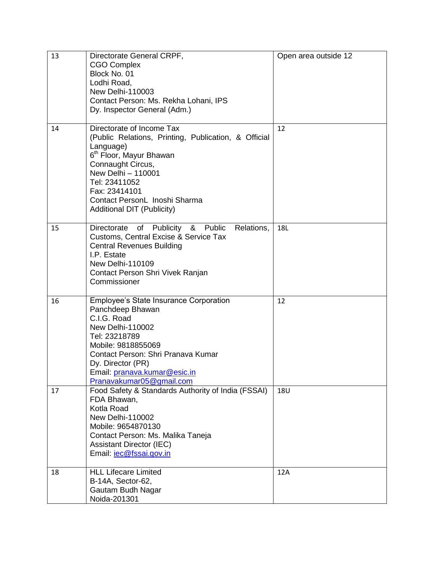| 13 | Directorate General CRPF,<br><b>CGO Complex</b><br>Block No. 01<br>Lodhi Road,<br><b>New Delhi-110003</b><br>Contact Person: Ms. Rekha Lohani, IPS<br>Dy. Inspector General (Adm.)                                                                                                       | Open area outside 12 |
|----|------------------------------------------------------------------------------------------------------------------------------------------------------------------------------------------------------------------------------------------------------------------------------------------|----------------------|
| 14 | Directorate of Income Tax<br>(Public Relations, Printing, Publication, & Official<br>Language)<br>6 <sup>th</sup> Floor, Mayur Bhawan<br>Connaught Circus,<br>New Delhi - 110001<br>Tel: 23411052<br>Fax: 23414101<br>Contact PersonL Inoshi Sharma<br><b>Additional DIT (Publicity)</b> | 12                   |
| 15 | of Publicity & Public<br>Directorate<br>Relations,<br>Customs, Central Excise & Service Tax<br><b>Central Revenues Building</b><br>I.P. Estate<br>New Delhi-110109<br>Contact Person Shri Vivek Ranjan<br>Commissioner                                                                   | 18L                  |
| 16 | Employee's State Insurance Corporation<br>Panchdeep Bhawan<br>C.I.G. Road<br>New Delhi-110002<br>Tel: 23218789<br>Mobile: 9818855069<br>Contact Person: Shri Pranava Kumar<br>Dy. Director (PR)<br>Email: pranava.kumar@esic.in<br>Pranavakumar05@gmail.com                              | 12                   |
| 17 | Food Safety & Standards Authority of India (FSSAI)<br>FDA Bhawan,<br>Kotla Road<br>New Delhi-110002<br>Mobile: 9654870130<br>Contact Person: Ms. Malika Taneja<br><b>Assistant Director (IEC)</b><br>Email: <i>iec@fssai.gov.in</i>                                                      | <b>18U</b>           |
| 18 | <b>HLL Lifecare Limited</b><br>B-14A, Sector-62,<br>Gautam Budh Nagar<br>Noida-201301                                                                                                                                                                                                    | 12A                  |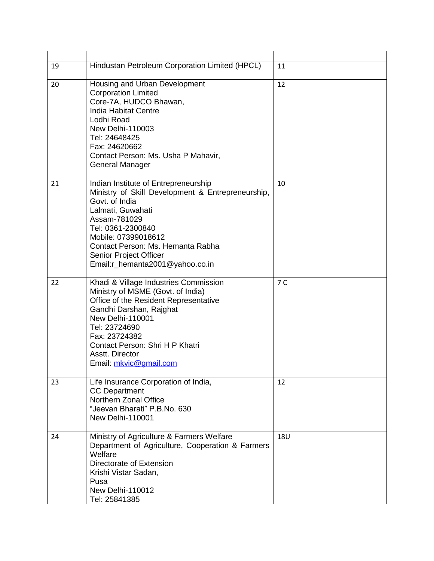| 19 | Hindustan Petroleum Corporation Limited (HPCL)                                                                                                                                                                                                                                                 | 11         |
|----|------------------------------------------------------------------------------------------------------------------------------------------------------------------------------------------------------------------------------------------------------------------------------------------------|------------|
| 20 | Housing and Urban Development<br><b>Corporation Limited</b><br>Core-7A, HUDCO Bhawan,<br><b>India Habitat Centre</b><br>Lodhi Road<br><b>New Delhi-110003</b><br>Tel: 24648425<br>Fax: 24620662<br>Contact Person: Ms. Usha P Mahavir,<br>General Manager                                      | 12         |
| 21 | Indian Institute of Entrepreneurship<br>Ministry of Skill Development & Entrepreneurship,<br>Govt. of India<br>Lalmati, Guwahati<br>Assam-781029<br>Tel: 0361-2300840<br>Mobile: 07399018612<br>Contact Person: Ms. Hemanta Rabha<br>Senior Project Officer<br>Email:r_hemanta2001@yahoo.co.in | 10         |
| 22 | Khadi & Village Industries Commission<br>Ministry of MSME (Govt. of India)<br>Office of the Resident Representative<br>Gandhi Darshan, Rajghat<br>New Delhi-110001<br>Tel: 23724690<br>Fax: 23724382<br>Contact Person: Shri H P Khatri<br>Asstt. Director<br>Email: mkvic@gmail.com           | 7 C        |
| 23 | Life Insurance Corporation of India,<br><b>CC Department</b><br>Northern Zonal Office<br>"Jeevan Bharati" P.B.No. 630<br>New Delhi-110001                                                                                                                                                      | 12         |
| 24 | Ministry of Agriculture & Farmers Welfare<br>Department of Agriculture, Cooperation & Farmers<br>Welfare<br>Directorate of Extension<br>Krishi Vistar Sadan,<br>Pusa<br>New Delhi-110012<br>Tel: 25841385                                                                                      | <b>18U</b> |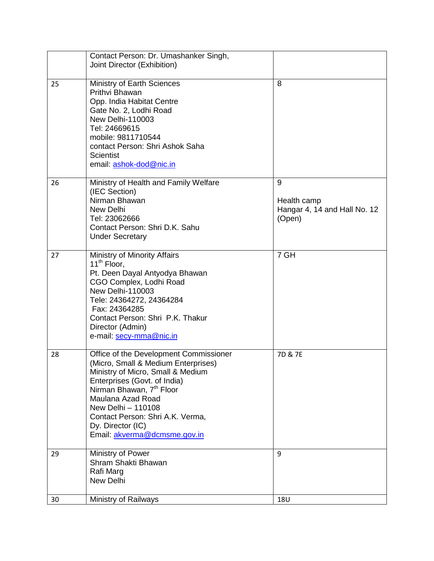|    | Contact Person: Dr. Umashanker Singh,<br>Joint Director (Exhibition)                                                                                                                                                                                                                                                           |                                                            |
|----|--------------------------------------------------------------------------------------------------------------------------------------------------------------------------------------------------------------------------------------------------------------------------------------------------------------------------------|------------------------------------------------------------|
| 25 | Ministry of Earth Sciences<br>Prithvi Bhawan<br>Opp. India Habitat Centre<br>Gate No. 2, Lodhi Road<br>New Delhi-110003<br>Tel: 24669615<br>mobile: 9811710544<br>contact Person: Shri Ashok Saha<br><b>Scientist</b><br>email: ashok-dod@nic.in                                                                               | 8                                                          |
| 26 | Ministry of Health and Family Welfare<br>(IEC Section)<br>Nirman Bhawan<br>New Delhi<br>Tel: 23062666<br>Contact Person: Shri D.K. Sahu<br><b>Under Secretary</b>                                                                                                                                                              | 9<br>Health camp<br>Hangar 4, 14 and Hall No. 12<br>(Open) |
| 27 | Ministry of Minority Affairs<br>11 <sup>th</sup> Floor,<br>Pt. Deen Dayal Antyodya Bhawan<br>CGO Complex, Lodhi Road<br><b>New Delhi-110003</b><br>Tele: 24364272, 24364284<br>Fax: 24364285<br>Contact Person: Shri P.K. Thakur<br>Director (Admin)<br>e-mail: secy-mma@nic.in                                                | 7 GH                                                       |
| 28 | Office of the Development Commissioner<br>(Micro, Small & Medium Enterprises)<br>Ministry of Micro, Small & Medium<br>Enterprises (Govt. of India)<br>Nirman Bhawan, 7 <sup>th</sup> Floor<br>Maulana Azad Road<br>New Delhi - 110108<br>Contact Person: Shri A.K. Verma,<br>Dy. Director (IC)<br>Email: akverma@dcmsme.gov.in | 7D & 7E                                                    |
| 29 | Ministry of Power<br>Shram Shakti Bhawan<br>Rafi Marg<br>New Delhi                                                                                                                                                                                                                                                             | 9                                                          |
| 30 | Ministry of Railways                                                                                                                                                                                                                                                                                                           | 18U                                                        |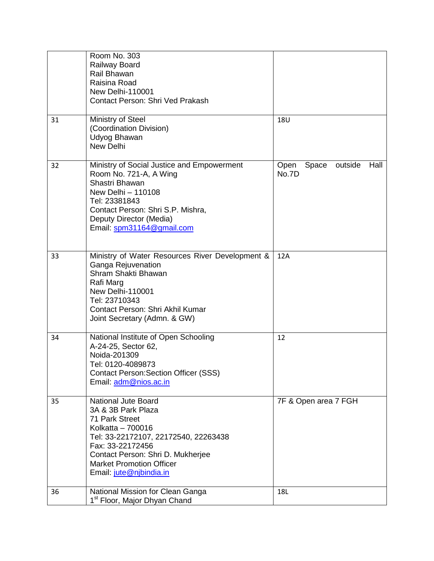|    | Room No. 303<br>Railway Board<br>Rail Bhawan<br>Raisina Road<br>New Delhi-110001<br>Contact Person: Shri Ved Prakash                                                                                                                                   |                                           |
|----|--------------------------------------------------------------------------------------------------------------------------------------------------------------------------------------------------------------------------------------------------------|-------------------------------------------|
| 31 | Ministry of Steel<br>(Coordination Division)<br>Udyog Bhawan<br>New Delhi                                                                                                                                                                              | <b>18U</b>                                |
| 32 | Ministry of Social Justice and Empowerment<br>Room No. 721-A, A Wing<br>Shastri Bhawan<br>New Delhi - 110108<br>Tel: 23381843<br>Contact Person: Shri S.P. Mishra,<br>Deputy Director (Media)<br>Email: spm31164@gmail.com                             | Hall<br>Open<br>Space<br>outside<br>No.7D |
| 33 | Ministry of Water Resources River Development &<br>Ganga Rejuvenation<br>Shram Shakti Bhawan<br>Rafi Marg<br>New Delhi-110001<br>Tel: 23710343<br>Contact Person: Shri Akhil Kumar<br>Joint Secretary (Admn. & GW)                                     | 12A                                       |
| 34 | National Institute of Open Schooling<br>A-24-25, Sector 62,<br>Noida-201309<br>Tel: 0120-4089873<br><b>Contact Person: Section Officer (SSS)</b><br>Email: adm@nios.ac.in                                                                              | 12                                        |
| 35 | <b>National Jute Board</b><br>3A & 3B Park Plaza<br>71 Park Street<br>Kolkatta - 700016<br>Tel: 33-22172107, 22172540, 22263438<br>Fax: 33-22172456<br>Contact Person: Shri D. Mukherjee<br><b>Market Promotion Officer</b><br>Email: jute@njbindia.in | 7F & Open area 7 FGH                      |
| 36 | National Mission for Clean Ganga<br>1 <sup>st</sup> Floor, Major Dhyan Chand                                                                                                                                                                           | 18L                                       |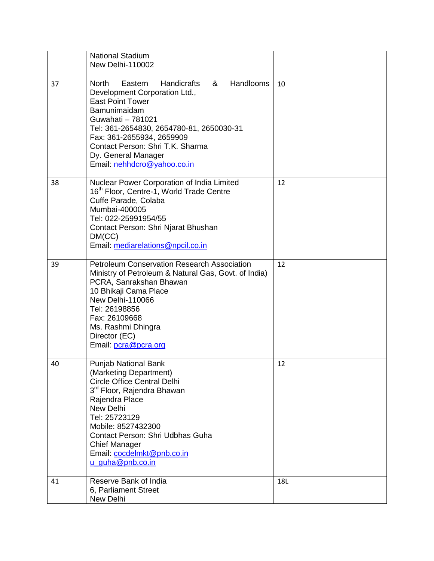|    | <b>National Stadium</b><br>New Delhi-110002                                                                                                                                                                                                                                                                                         |     |
|----|-------------------------------------------------------------------------------------------------------------------------------------------------------------------------------------------------------------------------------------------------------------------------------------------------------------------------------------|-----|
|    |                                                                                                                                                                                                                                                                                                                                     |     |
| 37 | Handlooms<br><b>Handicrafts</b><br>&<br><b>North</b><br>Eastern<br>Development Corporation Ltd.,<br><b>East Point Tower</b><br>Bamunimaidam<br>Guwahati - 781021<br>Tel: 361-2654830, 2654780-81, 2650030-31<br>Fax: 361-2655934, 2659909<br>Contact Person: Shri T.K. Sharma<br>Dy. General Manager<br>Email: nehhdcro@yahoo.co.in | 10  |
| 38 | Nuclear Power Corporation of India Limited<br>16 <sup>th</sup> Floor, Centre-1, World Trade Centre<br>Cuffe Parade, Colaba<br>Mumbai-400005<br>Tel: 022-25991954/55<br>Contact Person: Shri Njarat Bhushan<br>DM(CC)<br>Email: mediarelations@npcil.co.in                                                                           | 12  |
| 39 | <b>Petroleum Conservation Research Association</b><br>Ministry of Petroleum & Natural Gas, Govt. of India)<br>PCRA, Sanrakshan Bhawan<br>10 Bhikaji Cama Place<br>New Delhi-110066<br>Tel: 26198856<br>Fax: 26109668<br>Ms. Rashmi Dhingra<br>Director (EC)<br>Email: pcra@pcra.org                                                 | 12  |
| 40 | Punjab National Bank<br>(Marketing Department)<br><b>Circle Office Central Delhi</b><br>3 <sup>rd</sup> Floor, Rajendra Bhawan<br>Rajendra Place<br>New Delhi<br>Tel: 25723129<br>Mobile: 8527432300<br>Contact Person: Shri Udbhas Guha<br><b>Chief Manager</b><br>Email: cocdelmkt@pnb.co.in<br>u_guha@pnb.co.in                  | 12  |
| 41 | Reserve Bank of India<br>6, Parliament Street<br>New Delhi                                                                                                                                                                                                                                                                          | 18L |